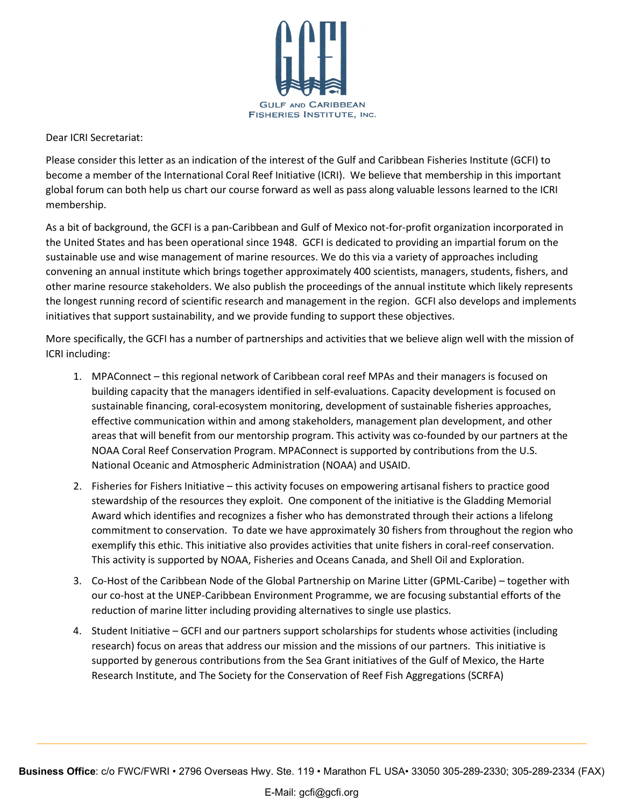

Dear ICRI Secretariat:

Please consider this letter as an indication of the interest of the Gulf and Caribbean Fisheries Institute (GCFI) to become a member of the International Coral Reef Initiative (ICRI). We believe that membership in this important global forum can both help us chart our course forward as well as pass along valuable lessons learned to the ICRI membership.

As a bit of background, the GCFI is a pan-Caribbean and Gulf of Mexico not-for-profit organization incorporated in the United States and has been operational since 1948. GCFI is dedicated to providing an impartial forum on the sustainable use and wise management of marine resources. We do this via a variety of approaches including convening an annual institute which brings together approximately 400 scientists, managers, students, fishers, and other marine resource stakeholders. We also publish the proceedings of the annual institute which likely represents the longest running record of scientific research and management in the region. GCFI also develops and implements initiatives that support sustainability, and we provide funding to support these objectives.

More specifically, the GCFI has a number of partnerships and activities that we believe align well with the mission of ICRI including:

- 1. MPAConnect this regional network of Caribbean coral reef MPAs and their managers is focused on building capacity that the managers identified in self-evaluations. Capacity development is focused on sustainable financing, coral-ecosystem monitoring, development of sustainable fisheries approaches, effective communication within and among stakeholders, management plan development, and other areas that will benefit from our mentorship program. This activity was co-founded by our partners at the NOAA Coral Reef Conservation Program. MPAConnect is supported by contributions from the U.S. National Oceanic and Atmospheric Administration (NOAA) and USAID.
- 2. Fisheries for Fishers Initiative this activity focuses on empowering artisanal fishers to practice good stewardship of the resources they exploit. One component of the initiative is the Gladding Memorial Award which identifies and recognizes a fisher who has demonstrated through their actions a lifelong commitment to conservation. To date we have approximately 30 fishers from throughout the region who exemplify this ethic. This initiative also provides activities that unite fishers in coral-reef conservation. This activity is supported by NOAA, Fisheries and Oceans Canada, and Shell Oil and Exploration.
- 3. Co-Host of the Caribbean Node of the Global Partnership on Marine Litter (GPML-Caribe) together with our co-host at the UNEP-Caribbean Environment Programme, we are focusing substantial efforts of the reduction of marine litter including providing alternatives to single use plastics.
- 4. Student Initiative GCFI and our partners support scholarships for students whose activities (including research) focus on areas that address our mission and the missions of our partners. This initiative is supported by generous contributions from the Sea Grant initiatives of the Gulf of Mexico, the Harte Research Institute, and The Society for the Conservation of Reef Fish Aggregations (SCRFA)